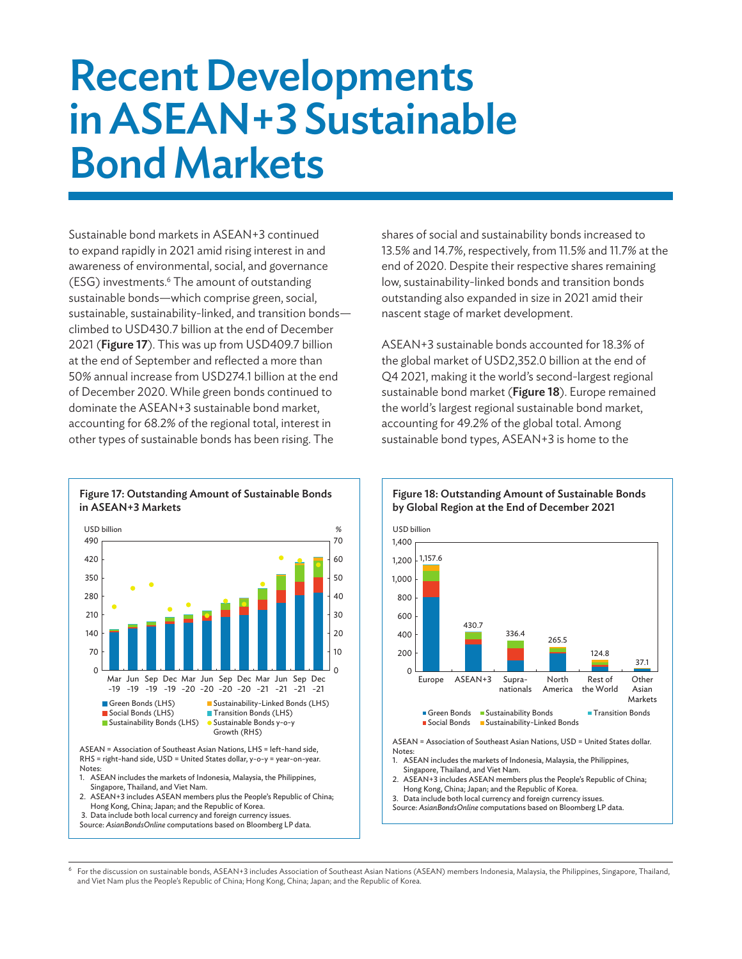# Recent Developments in ASEAN+3 Sustainable Bond Markets

Sustainable bond markets in ASEAN+3 continued to expand rapidly in 2021 amid rising interest in and awareness of environmental, social, and governance (ESG) investments.<sup>6</sup> The amount of outstanding sustainable bonds—which comprise green, social, sustainable, sustainability-linked, and transition bonds climbed to USD430.7 billion at the end of December 2021 (Figure 17). This was up from USD409.7 billion at the end of September and reflected a more than 50% annual increase from USD274.1 billion at the end of December 2020. While green bonds continued to dominate the ASEAN+3 sustainable bond market, accounting for 68.2% of the regional total, interest in other types of sustainable bonds has been rising. The

shares of social and sustainability bonds increased to 13.5% and 14.7%, respectively, from 11.5% and 11.7% at the end of 2020. Despite their respective shares remaining low, sustainability-linked bonds and transition bonds outstanding also expanded in size in 2021 amid their nascent stage of market development.

ASEAN+3 sustainable bonds accounted for 18.3% of the global market of USD2,352.0 billion at the end of Q4 2021, making it the world's second-largest regional sustainable bond market (Figure 18). Europe remained the world's largest regional sustainable bond market, accounting for 49.2% of the global total. Among sustainable bond types, ASEAN+3 is home to the



Figure 17: Outstanding Amount of Sustainable Bonds

in ASEAN+3 Markets

ASEAN = Association of Southeast Asian Nations, LHS = left-hand side, RHS = right-hand side, USD = United States dollar, y-o-y = year-on-year. Notes:

- 1. ASEAN includes the markets of Indonesia, Malaysia, the Philippines, Singapore, Thailand, and Viet Nam.
- 2. ASEAN+3 includes ASEAN members plus the People's Republic of China; Hong Kong, China; Japan; and the Republic of Korea. 3. Data include both local currency and foreign currency issues.

Source: *AsianBondsOnline* computations based on Bloomberg LP data.



## Figure 18: Outstanding Amount of Sustainable Bonds by Global Region at the End of December 2021

ASEAN = Association of Southeast Asian Nations, USD = United States dollar. Notes:

- 1. ASEAN includes the markets of Indonesia, Malaysia, the Philippines, Singapore, Thailand, and Viet Nam.
- 2. ASEAN+3 includes ASEAN members plus the People's Republic of China; Hong Kong, China; Japan; and the Republic of Korea.
- 3. Data include both local currency and foreign currency issues. Source: *AsianBondsOnline* computations based on Bloomberg LP data.

6 For the discussion on sustainable bonds, ASEAN+3 includes Association of Southeast Asian Nations (ASEAN) members Indonesia, Malaysia, the Philippines, Singapore, Thailand, and Viet Nam plus the People's Republic of China; Hong Kong, China; Japan; and the Republic of Korea.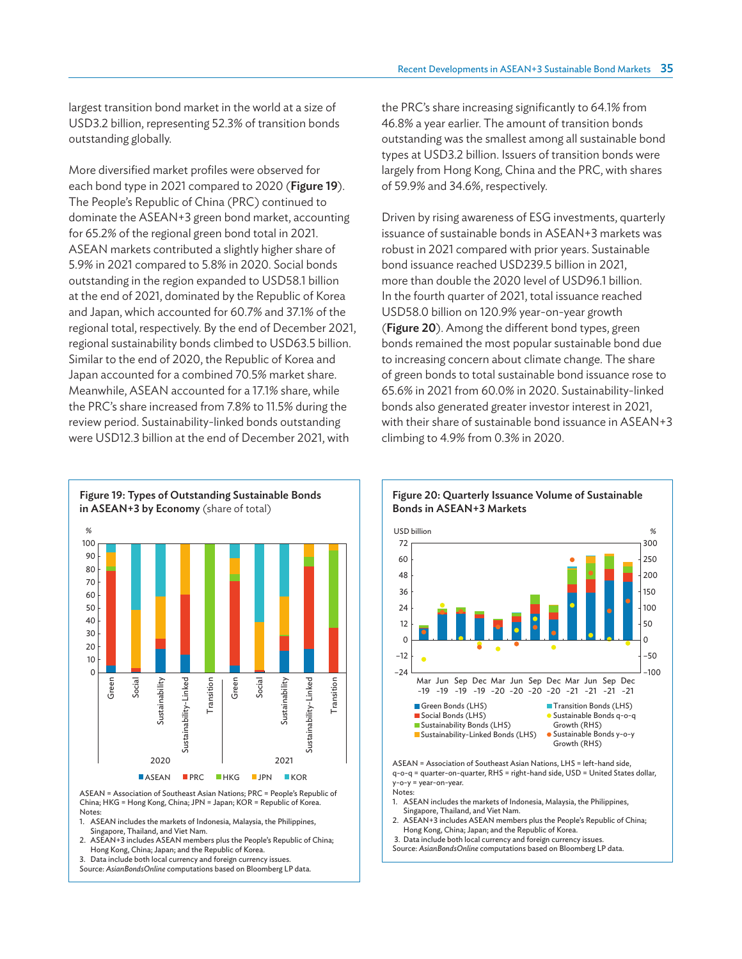largest transition bond market in the world at a size of USD3.2 billion, representing 52.3% of transition bonds outstanding globally.

More diversified market profiles were observed for each bond type in 2021 compared to 2020 (Figure 19). The People's Republic of China (PRC) continued to dominate the ASEAN+3 green bond market, accounting for 65.2% of the regional green bond total in 2021. ASEAN markets contributed a slightly higher share of 5.9% in 2021 compared to 5.8% in 2020. Social bonds outstanding in the region expanded to USD58.1 billion at the end of 2021, dominated by the Republic of Korea and Japan, which accounted for 60.7% and 37.1% of the regional total, respectively. By the end of December 2021, regional sustainability bonds climbed to USD63.5 billion. Similar to the end of 2020, the Republic of Korea and Japan accounted for a combined 70.5% market share. Meanwhile, ASEAN accounted for a 17.1% share, while the PRC's share increased from 7.8% to 11.5% during the review period. Sustainability-linked bonds outstanding were USD12.3 billion at the end of December 2021, with

Figure 19: Types of Outstanding Sustainable Bonds in ASEAN+3 by Economy (share of total) % 100 90 80 70 60 50 40 30 20 10  $\Omega$ Social tainability-Linked Green Transition Transition Sustainability-Linked<br>Sustainability-Linked<br>Transition<br>Green<br>Sustainability<br>2021 Sustainability Sustainability-Linked Sustainability-Linked Sust **ASEAN PRC HKG IPN KORPR** 

ASEAN = Association of Southeast Asian Nations; PRC = People's Republic of China; HKG = Hong Kong, China; JPN = Japan; KOR = Republic of Korea. Notes:

1. ASEAN includes the markets of Indonesia, Malaysia, the Philippines, Singapore, Thailand, and Viet Nam.

2. ASEAN+3 includes ASEAN members plus the People's Republic of China; Hong Kong, China; Japan; and the Republic of Korea.

3. Data include both local currency and foreign currency issues.

Source: *AsianBondsOnline* computations based on Bloomberg LP data.

the PRC's share increasing significantly to 64.1% from 46.8% a year earlier. The amount of transition bonds outstanding was the smallest among all sustainable bond types at USD3.2 billion. Issuers of transition bonds were largely from Hong Kong, China and the PRC, with shares of 59.9% and 34.6%, respectively.

Driven by rising awareness of ESG investments, quarterly issuance of sustainable bonds in ASEAN+3 markets was robust in 2021 compared with prior years. Sustainable bond issuance reached USD239.5 billion in 2021, more than double the 2020 level of USD96.1 billion. In the fourth quarter of 2021, total issuance reached USD58.0 billion on 120.9% year-on-year growth (Figure 20). Among the different bond types, green bonds remained the most popular sustainable bond due to increasing concern about climate change. The share of green bonds to total sustainable bond issuance rose to 65.6% in 2021 from 60.0% in 2020. Sustainability-linked bonds also generated greater investor interest in 2021, with their share of sustainable bond issuance in ASEAN+3 climbing to 4.9% from 0.3% in 2020.



Figure 20: Quarterly Issuance Volume of Sustainable

ASEAN = Association of Southeast Asian Nations, LHS = left-hand side, q-o-q = quarter-on-quarter, RHS = right-hand side, USD = United States dollar, y-o-y = year-on-year. Notes:

1. ASEAN includes the markets of Indonesia, Malaysia, the Philippines, Singapore, Thailand, and Viet Nam.

2. ASEAN+3 includes ASEAN members plus the People's Republic of China; Hong Kong, China; Japan; and the Republic of Korea.

3. Data include both local currency and foreign currency issues.

Source: *AsianBondsOnline* computations based on Bloomberg LP data.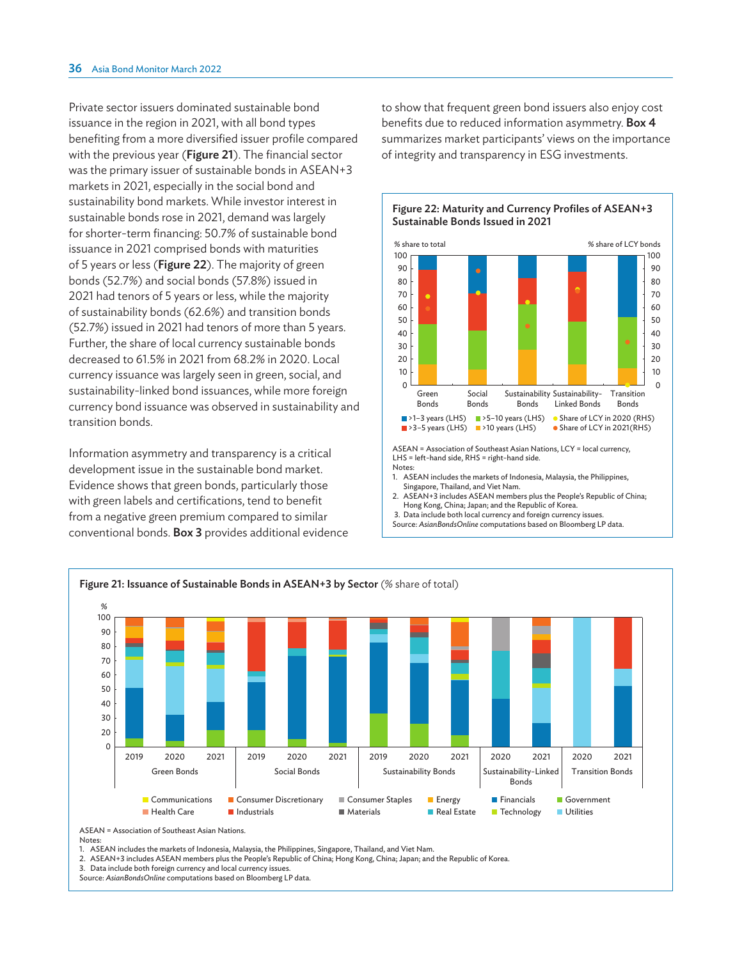Private sector issuers dominated sustainable bond issuance in the region in 2021, with all bond types benefiting from a more diversified issuer profile compared with the previous year (Figure 21). The financial sector was the primary issuer of sustainable bonds in ASEAN+3 markets in 2021, especially in the social bond and sustainability bond markets. While investor interest in sustainable bonds rose in 2021, demand was largely for shorter-term financing: 50.7% of sustainable bond issuance in 2021 comprised bonds with maturities of 5 years or less (Figure 22). The majority of green bonds (52.7%) and social bonds (57.8%) issued in 2021 had tenors of 5 years or less, while the majority of sustainability bonds (62.6%) and transition bonds (52.7%) issued in 2021 had tenors of more than 5 years. Further, the share of local currency sustainable bonds decreased to 61.5% in 2021 from 68.2% in 2020. Local currency issuance was largely seen in green, social, and sustainability-linked bond issuances, while more foreign currency bond issuance was observed in sustainability and transition bonds.

Information asymmetry and transparency is a critical development issue in the sustainable bond market. Evidence shows that green bonds, particularly those with green labels and certifications, tend to benefit from a negative green premium compared to similar conventional bonds. Box 3 provides additional evidence to show that frequent green bond issuers also enjoy cost benefits due to reduced information asymmetry. Box 4 summarizes market participants' views on the importance of integrity and transparency in ESG investments.



## Figure 22: Maturity and Currency Profiles of ASEAN+3 Sustainable Bonds Issued in 2021

ASEAN = Association of Southeast Asian Nations, LCY = local currency, LHS = left-hand side, RHS = right-hand side. Notes:

- 1. ASEAN includes the markets of Indonesia, Malaysia, the Philippines, Singapore, Thailand, and Viet Nam.
- 2. ASEAN+3 includes ASEAN members plus the People's Republic of China; Hong Kong, China; Japan; and the Republic of Korea.
- 3. Data include both local currency and foreign currency issues.
- Source: *AsianBondsOnline* computations based on Bloomberg LP data.



ASEAN = Association of Southeast Asian Nations. **Notes** 

2. ASEAN+3 includes ASEAN members plus the People's Republic of China; Hong Kong, China; Japan; and the Republic of Korea.

3. Data include both foreign currency and local currency issues.

Source: *AsianBondsOnline* computations based on Bloomberg LP data.

<sup>1.</sup> ASEAN includes the markets of Indonesia, Malaysia, the Philippines, Singapore, Thailand, and Viet Nam.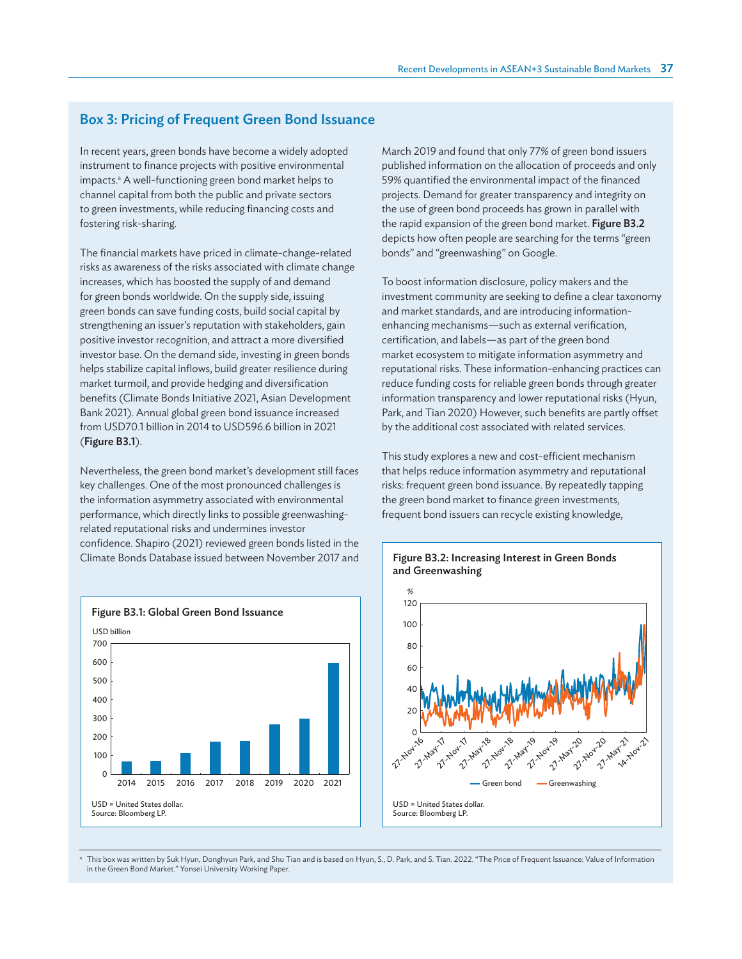# Box 3: Pricing of Frequent Green Bond Issuance

In recent years, green bonds have become a widely adopted instrument to finance projects with positive environmental impacts.<sup>a</sup> A well-functioning green bond market helps to channel capital from both the public and private sectors to green investments, while reducing financing costs and fostering risk-sharing.

The financial markets have priced in climate-change-related risks as awareness of the risks associated with climate change increases, which has boosted the supply of and demand for green bonds worldwide. On the supply side, issuing green bonds can save funding costs, build social capital by strengthening an issuer's reputation with stakeholders, gain positive investor recognition, and attract a more diversified investor base. On the demand side, investing in green bonds helps stabilize capital inflows, build greater resilience during market turmoil, and provide hedging and diversification benefits (Climate Bonds Initiative 2021, Asian Development Bank 2021). Annual global green bond issuance increased from USD70.1 billion in 2014 to USD596.6 billion in 2021 (Figure B3.1).

Nevertheless, the green bond market's development still faces key challenges. One of the most pronounced challenges is the information asymmetry associated with environmental performance, which directly links to possible greenwashingrelated reputational risks and undermines investor confidence. Shapiro (2021) reviewed green bonds listed in the Climate Bonds Database issued between November 2017 and March 2019 and found that only 77% of green bond issuers published information on the allocation of proceeds and only 59% quantified the environmental impact of the financed projects. Demand for greater transparency and integrity on the use of green bond proceeds has grown in parallel with the rapid expansion of the green bond market. Figure B3.2 depicts how often people are searching for the terms "green bonds" and "greenwashing" on Google.

To boost information disclosure, policy makers and the investment community are seeking to define a clear taxonomy and market standards, and are introducing informationenhancing mechanisms—such as external verification, certification, and labels—as part of the green bond market ecosystem to mitigate information asymmetry and reputational risks. These information-enhancing practices can reduce funding costs for reliable green bonds through greater information transparency and lower reputational risks (Hyun, Park, and Tian 2020) However, such benefits are partly offset by the additional cost associated with related services.

This study explores a new and cost-efficient mechanism that helps reduce information asymmetry and reputational risks: frequent green bond issuance. By repeatedly tapping the green bond market to finance green investments, frequent bond issuers can recycle existing knowledge,



## Figure B3.2: Increasing Interest in Green Bonds and Greenwashing



a This box was written by Suk Hyun, Donghyun Park, and Shu Tian and is based on Hyun, S., D. Park, and S. Tian. 2022. "The Price of Frequent Issuance: Value of Information in the Green Bond Market." Yonsei University Working Paper.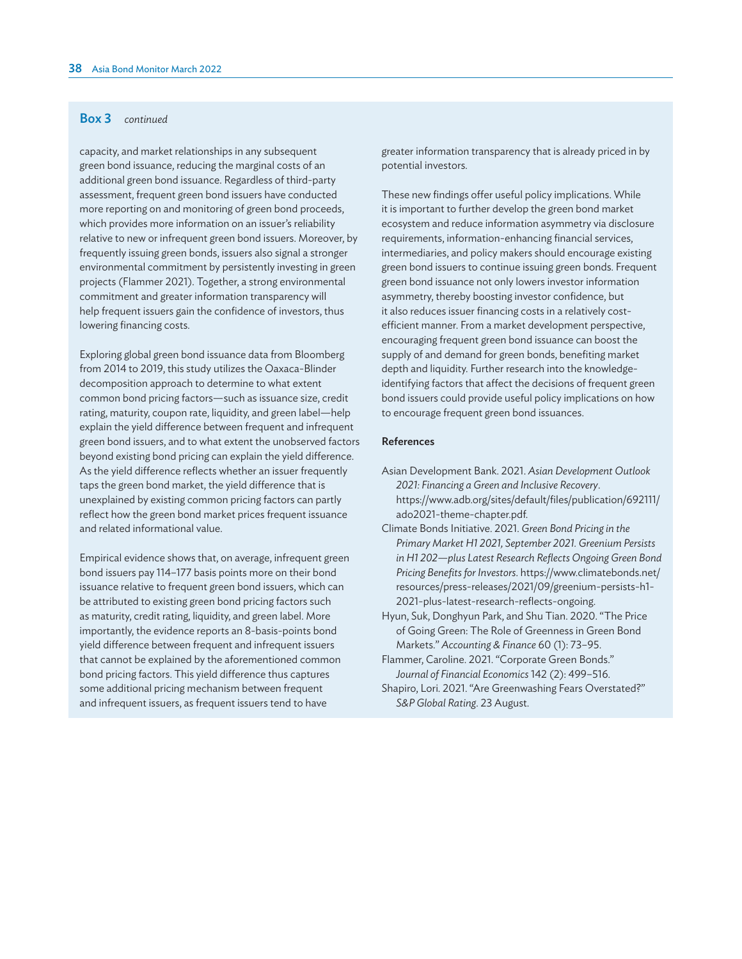## Box 3 *continued*

capacity, and market relationships in any subsequent green bond issuance, reducing the marginal costs of an additional green bond issuance. Regardless of third-party assessment, frequent green bond issuers have conducted more reporting on and monitoring of green bond proceeds, which provides more information on an issuer's reliability relative to new or infrequent green bond issuers. Moreover, by frequently issuing green bonds, issuers also signal a stronger environmental commitment by persistently investing in green projects (Flammer 2021). Together, a strong environmental commitment and greater information transparency will help frequent issuers gain the confidence of investors, thus lowering financing costs.

Exploring global green bond issuance data from Bloomberg from 2014 to 2019, this study utilizes the Oaxaca-Blinder decomposition approach to determine to what extent common bond pricing factors—such as issuance size, credit rating, maturity, coupon rate, liquidity, and green label—help explain the yield difference between frequent and infrequent green bond issuers, and to what extent the unobserved factors beyond existing bond pricing can explain the yield difference. As the yield difference reflects whether an issuer frequently taps the green bond market, the yield difference that is unexplained by existing common pricing factors can partly reflect how the green bond market prices frequent issuance and related informational value.

Empirical evidence shows that, on average, infrequent green bond issuers pay 114–177 basis points more on their bond issuance relative to frequent green bond issuers, which can be attributed to existing green bond pricing factors such as maturity, credit rating, liquidity, and green label. More importantly, the evidence reports an 8-basis-points bond yield difference between frequent and infrequent issuers that cannot be explained by the aforementioned common bond pricing factors. This yield difference thus captures some additional pricing mechanism between frequent and infrequent issuers, as frequent issuers tend to have

greater information transparency that is already priced in by potential investors.

These new findings offer useful policy implications. While it is important to further develop the green bond market ecosystem and reduce information asymmetry via disclosure requirements, information-enhancing financial services, intermediaries, and policy makers should encourage existing green bond issuers to continue issuing green bonds. Frequent green bond issuance not only lowers investor information asymmetry, thereby boosting investor confidence, but it also reduces issuer financing costs in a relatively costefficient manner. From a market development perspective, encouraging frequent green bond issuance can boost the supply of and demand for green bonds, benefiting market depth and liquidity. Further research into the knowledgeidentifying factors that affect the decisions of frequent green bond issuers could provide useful policy implications on how to encourage frequent green bond issuances.

## References

- Asian Development Bank. 2021. *Asian Development Outlook 2021: Financing a Green and Inclusive Recovery*. [https://www.adb.org/sites/default/files/publication/692111/](https://www.adb.org/sites/default/files/publication/692111/ado2021-theme-chapter.pdf) [ado2021-theme-chapter.pdf.](https://www.adb.org/sites/default/files/publication/692111/ado2021-theme-chapter.pdf)
- Climate Bonds Initiative. 2021. *Green Bond Pricing in the Primary Market H1 2021, September 2021. Greenium Persists in H1 202—plus Latest Research Reflects Ongoing Green Bond Pricing Benefits for Investors*. [https://www.climatebonds.net/](https://www.climatebonds.net/resources/press-releases/2021/09/greenium-persists-h1-2021-plus-latest-research-reflects-ongoing) [resources/press-releases/2021/09/greenium-persists-h1-](https://www.climatebonds.net/resources/press-releases/2021/09/greenium-persists-h1-2021-plus-latest-research-reflects-ongoing) [2021-plus-latest-research-reflects-ongoing.](https://www.climatebonds.net/resources/press-releases/2021/09/greenium-persists-h1-2021-plus-latest-research-reflects-ongoing)
- Hyun, Suk, Donghyun Park, and Shu Tian. 2020. "The Price of Going Green: The Role of Greenness in Green Bond Markets." *Accounting & Finance* 60 (1): 73–95.
- Flammer, Caroline. 2021. "Corporate Green Bonds." *Journal of Financial Economics* 142 (2): 499–516.
- Shapiro, Lori. 2021. "Are Greenwashing Fears Overstated?" *S&P Global Rating*. 23 August.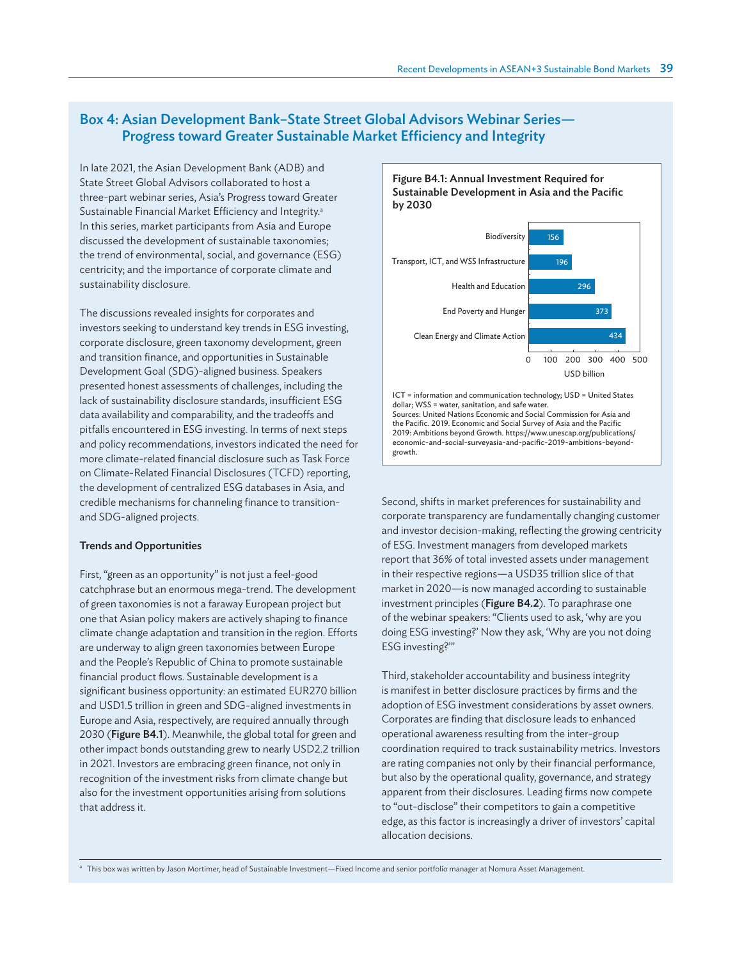# Box 4: Asian Development Bank–State Street Global Advisors Webinar Series— Progress toward Greater Sustainable Market Efficiency and Integrity

In late 2021, the Asian Development Bank (ADB) and State Street Global Advisors collaborated to host a three-part webinar series, Asia's Progress toward Greater Sustainable Financial Market Efficiency and Integrity.<sup>a</sup> In this series, market participants from Asia and Europe discussed the development of sustainable taxonomies; the trend of environmental, social, and governance (ESG) centricity; and the importance of corporate climate and sustainability disclosure.

The discussions revealed insights for corporates and investors seeking to understand key trends in ESG investing, corporate disclosure, green taxonomy development, green and transition finance, and opportunities in Sustainable Development Goal (SDG)-aligned business. Speakers presented honest assessments of challenges, including the lack of sustainability disclosure standards, insufficient ESG data availability and comparability, and the tradeoffs and pitfalls encountered in ESG investing. In terms of next steps and policy recommendations, investors indicated the need for more climate-related financial disclosure such as Task Force on Climate-Related Financial Disclosures (TCFD) reporting, the development of centralized ESG databases in Asia, and credible mechanisms for channeling finance to transitionand SDG-aligned projects.

## Trends and Opportunities

First, "green as an opportunity" is not just a feel-good catchphrase but an enormous mega-trend. The development of green taxonomies is not a faraway European project but one that Asian policy makers are actively shaping to finance climate change adaptation and transition in the region. Efforts are underway to align green taxonomies between Europe and the People's Republic of China to promote sustainable financial product flows. Sustainable development is a significant business opportunity: an estimated EUR270 billion and USD1.5 trillion in green and SDG-aligned investments in Europe and Asia, respectively, are required annually through 2030 (Figure B4.1). Meanwhile, the global total for green and other impact bonds outstanding grew to nearly USD2.2 trillion in 2021. Investors are embracing green finance, not only in recognition of the investment risks from climate change but also for the investment opportunities arising from solutions that address it.

Figure B4.1: Annual Investment Required for Sustainable Development in Asia and the Pacific by 2030



ICT = information and communication technology; USD = United States dollar; WSS = water, sanitation, and safe water. Sources: United Nations Economic and Social Commission for Asia and the Pacific. 2019. Economic and Social Survey of Asia and the Pacific 2019: Ambitions beyond Growth. [https://www.unescap.org/publications/](https://www.unescap.org/publications/economic-and-social-surveyasia-and-pacific-2019-ambitions-beyond-growth) [economic-and-social-surveyasia-and-pacific-2019-ambitions-beyond](https://www.unescap.org/publications/economic-and-social-surveyasia-and-pacific-2019-ambitions-beyond-growth)[growth](https://www.unescap.org/publications/economic-and-social-surveyasia-and-pacific-2019-ambitions-beyond-growth).

Second, shifts in market preferences for sustainability and corporate transparency are fundamentally changing customer and investor decision-making, reflecting the growing centricity of ESG. Investment managers from developed markets report that 36% of total invested assets under management in their respective regions—a USD35 trillion slice of that market in 2020—is now managed according to sustainable investment principles (Figure B4.2). To paraphrase one of the webinar speakers: "Clients used to ask, 'why are you doing ESG investing?' Now they ask, 'Why are you not doing ESG investing?'"

Third, stakeholder accountability and business integrity is manifest in better disclosure practices by firms and the adoption of ESG investment considerations by asset owners. Corporates are finding that disclosure leads to enhanced operational awareness resulting from the inter-group coordination required to track sustainability metrics. Investors are rating companies not only by their financial performance, but also by the operational quality, governance, and strategy apparent from their disclosures. Leading firms now compete to "out-disclose" their competitors to gain a competitive edge, as this factor is increasingly a driver of investors' capital allocation decisions.

a This box was written by Jason Mortimer, head of Sustainable Investment—Fixed Income and senior portfolio manager at Nomura Asset Management.